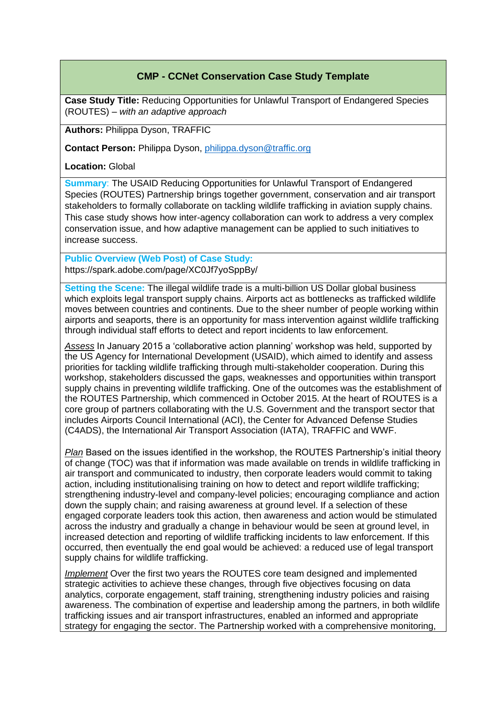## **CMP - CCNet Conservation Case Study Template**

**Case Study Title:** Reducing Opportunities for Unlawful Transport of Endangered Species (ROUTES) – *with an adaptive approach*

**Authors:** Philippa Dyson, TRAFFIC

**Contact Person:** Philippa Dyson, [philippa.dyson@traffic.org](mailto:philippa.dyson@traffic.org)

**Location:** Global

**Summary**: The USAID Reducing Opportunities for Unlawful Transport of Endangered Species (ROUTES) Partnership brings together government, conservation and air transport stakeholders to formally collaborate on tackling wildlife trafficking in aviation supply chains. This case study shows how inter-agency collaboration can work to address a very complex conservation issue, and how adaptive management can be applied to such initiatives to increase success.

**Public Overview (Web Post) of Case Study:**  https://spark.adobe.com/page/XC0Jf7yoSppBy/

**Setting the Scene:** The illegal wildlife trade is a multi-billion US Dollar global business which exploits legal transport supply chains. Airports act as bottlenecks as trafficked wildlife moves between countries and continents. Due to the sheer number of people working within airports and seaports, there is an opportunity for mass intervention against wildlife trafficking through individual staff efforts to detect and report incidents to law enforcement.

*Assess* In January 2015 a 'collaborative action planning' workshop was held, supported by the US Agency for International Development (USAID), which aimed to identify and assess priorities for tackling wildlife trafficking through multi-stakeholder cooperation. During this workshop, stakeholders discussed the gaps, weaknesses and opportunities within transport supply chains in preventing wildlife trafficking. One of the outcomes was the establishment of the ROUTES Partnership, which commenced in October 2015. At the heart of ROUTES is a core group of partners collaborating with the U.S. Government and the transport sector that includes Airports Council International (ACI), the Center for Advanced Defense Studies (C4ADS), the International Air Transport Association (IATA), TRAFFIC and WWF.

*Plan* Based on the issues identified in the workshop, the ROUTES Partnership's initial theory of change (TOC) was that if information was made available on trends in wildlife trafficking in air transport and communicated to industry, then corporate leaders would commit to taking action, including institutionalising training on how to detect and report wildlife trafficking; strengthening industry-level and company-level policies; encouraging compliance and action down the supply chain; and raising awareness at ground level. If a selection of these engaged corporate leaders took this action, then awareness and action would be stimulated across the industry and gradually a change in behaviour would be seen at ground level, in increased detection and reporting of wildlife trafficking incidents to law enforcement. If this occurred, then eventually the end goal would be achieved: a reduced use of legal transport supply chains for wildlife trafficking.

*Implement* Over the first two years the ROUTES core team designed and implemented strategic activities to achieve these changes, through five objectives focusing on data analytics, corporate engagement, staff training, strengthening industry policies and raising awareness. The combination of expertise and leadership among the partners, in both wildlife trafficking issues and air transport infrastructures, enabled an informed and appropriate strategy for engaging the sector. The Partnership worked with a comprehensive monitoring,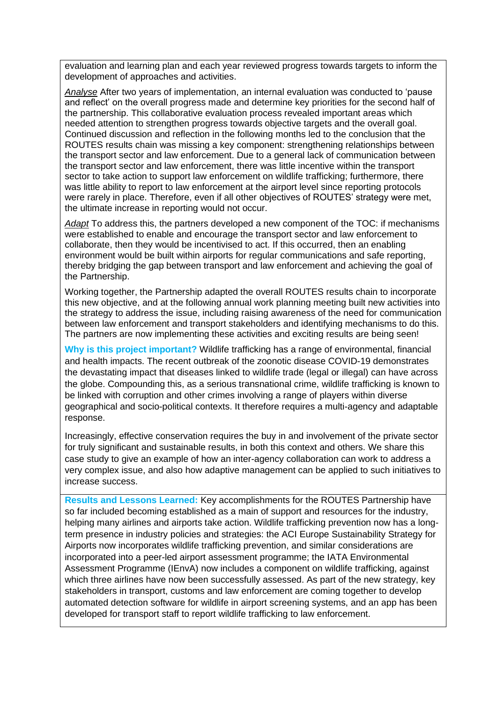evaluation and learning plan and each year reviewed progress towards targets to inform the development of approaches and activities.

*Analyse* After two years of implementation, an internal evaluation was conducted to 'pause and reflect' on the overall progress made and determine key priorities for the second half of the partnership. This collaborative evaluation process revealed important areas which needed attention to strengthen progress towards objective targets and the overall goal. Continued discussion and reflection in the following months led to the conclusion that the ROUTES results chain was missing a key component: strengthening relationships between the transport sector and law enforcement. Due to a general lack of communication between the transport sector and law enforcement, there was little incentive within the transport sector to take action to support law enforcement on wildlife trafficking; furthermore, there was little ability to report to law enforcement at the airport level since reporting protocols were rarely in place. Therefore, even if all other objectives of ROUTES' strategy were met, the ultimate increase in reporting would not occur.

*Adapt* To address this, the partners developed a new component of the TOC: if mechanisms were established to enable and encourage the transport sector and law enforcement to collaborate, then they would be incentivised to act. If this occurred, then an enabling environment would be built within airports for regular communications and safe reporting, thereby bridging the gap between transport and law enforcement and achieving the goal of the Partnership.

Working together, the Partnership adapted the overall ROUTES results chain to incorporate this new objective, and at the following annual work planning meeting built new activities into the strategy to address the issue, including raising awareness of the need for communication between law enforcement and transport stakeholders and identifying mechanisms to do this. The partners are now implementing these activities and exciting results are being seen!

**Why is this project important?** Wildlife trafficking has a range of environmental, financial and health impacts. The recent outbreak of the zoonotic disease COVID-19 demonstrates the devastating impact that diseases linked to wildlife trade (legal or illegal) can have across the globe. Compounding this, as a serious transnational crime, wildlife trafficking is known to be linked with corruption and other crimes involving a range of players within diverse geographical and socio-political contexts. It therefore requires a multi-agency and adaptable response.

Increasingly, effective conservation requires the buy in and involvement of the private sector for truly significant and sustainable results, in both this context and others. We share this case study to give an example of how an inter-agency collaboration can work to address a very complex issue, and also how adaptive management can be applied to such initiatives to increase success.

**Results and Lessons Learned:** Key accomplishments for the ROUTES Partnership have so far included becoming established as a main of support and resources for the industry, helping many airlines and airports take action. Wildlife trafficking prevention now has a longterm presence in industry policies and strategies: the ACI Europe Sustainability Strategy for Airports now incorporates wildlife trafficking prevention, and similar considerations are incorporated into a peer-led airport assessment programme; the IATA Environmental Assessment Programme (IEnvA) now includes a component on wildlife trafficking, against which three airlines have now been successfully assessed. As part of the new strategy, key stakeholders in transport, customs and law enforcement are coming together to develop automated detection software for wildlife in airport screening systems, and an app has been developed for transport staff to report wildlife trafficking to law enforcement.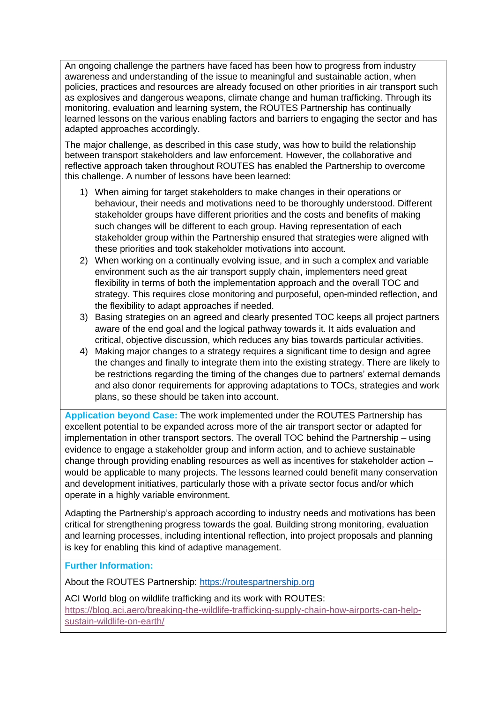An ongoing challenge the partners have faced has been how to progress from industry awareness and understanding of the issue to meaningful and sustainable action, when policies, practices and resources are already focused on other priorities in air transport such as explosives and dangerous weapons, climate change and human trafficking. Through its monitoring, evaluation and learning system, the ROUTES Partnership has continually learned lessons on the various enabling factors and barriers to engaging the sector and has adapted approaches accordingly.

The major challenge, as described in this case study, was how to build the relationship between transport stakeholders and law enforcement. However, the collaborative and reflective approach taken throughout ROUTES has enabled the Partnership to overcome this challenge. A number of lessons have been learned:

- 1) When aiming for target stakeholders to make changes in their operations or behaviour, their needs and motivations need to be thoroughly understood. Different stakeholder groups have different priorities and the costs and benefits of making such changes will be different to each group. Having representation of each stakeholder group within the Partnership ensured that strategies were aligned with these priorities and took stakeholder motivations into account.
- 2) When working on a continually evolving issue, and in such a complex and variable environment such as the air transport supply chain, implementers need great flexibility in terms of both the implementation approach and the overall TOC and strategy. This requires close monitoring and purposeful, open-minded reflection, and the flexibility to adapt approaches if needed.
- 3) Basing strategies on an agreed and clearly presented TOC keeps all project partners aware of the end goal and the logical pathway towards it. It aids evaluation and critical, objective discussion, which reduces any bias towards particular activities.
- 4) Making major changes to a strategy requires a significant time to design and agree the changes and finally to integrate them into the existing strategy. There are likely to be restrictions regarding the timing of the changes due to partners' external demands and also donor requirements for approving adaptations to TOCs, strategies and work plans, so these should be taken into account.

**Application beyond Case:** The work implemented under the ROUTES Partnership has excellent potential to be expanded across more of the air transport sector or adapted for implementation in other transport sectors. The overall TOC behind the Partnership – using evidence to engage a stakeholder group and inform action, and to achieve sustainable change through providing enabling resources as well as incentives for stakeholder action – would be applicable to many projects. The lessons learned could benefit many conservation and development initiatives, particularly those with a private sector focus and/or which operate in a highly variable environment.

Adapting the Partnership's approach according to industry needs and motivations has been critical for strengthening progress towards the goal. Building strong monitoring, evaluation and learning processes, including intentional reflection, into project proposals and planning is key for enabling this kind of adaptive management.

**Further Information:**

About the ROUTES Partnership: [https://routespartnership.org](https://routespartnership.org/about-routes/routes)

ACI World blog on wildlife trafficking and its work with ROUTES: [https://blog.aci.aero/breaking-the-wildlife-trafficking-supply-chain-how-airports-can-help](https://blog.aci.aero/breaking-the-wildlife-trafficking-supply-chain-how-airports-can-help-sustain-wildlife-on-earth/)[sustain-wildlife-on-earth/](https://blog.aci.aero/breaking-the-wildlife-trafficking-supply-chain-how-airports-can-help-sustain-wildlife-on-earth/)